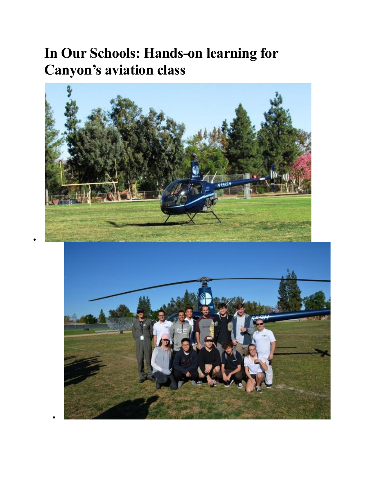## **In Our Schools: Hands-on learning for Canyon's aviation class**



•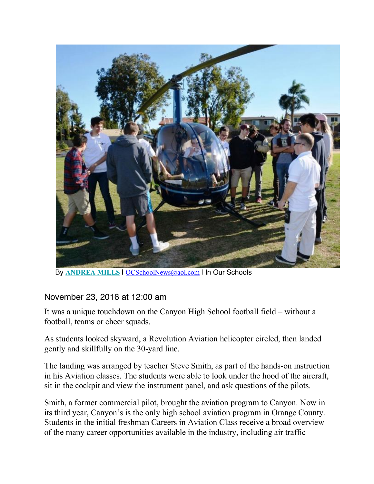

By **ANDREA MILLS** | OCSchoolNews@aol.com | In Our Schools

## November 23, 2016 at 12:00 am

It was a unique touchdown on the Canyon High School football field – without a football, teams or cheer squads.

As students looked skyward, a Revolution Aviation helicopter circled, then landed gently and skillfully on the 30-yard line.

The landing was arranged by teacher Steve Smith, as part of the hands-on instruction in his Aviation classes. The students were able to look under the hood of the aircraft, sit in the cockpit and view the instrument panel, and ask questions of the pilots.

Smith, a former commercial pilot, brought the aviation program to Canyon. Now in its third year, Canyon's is the only high school aviation program in Orange County. Students in the initial freshman Careers in Aviation Class receive a broad overview of the many career opportunities available in the industry, including air traffic